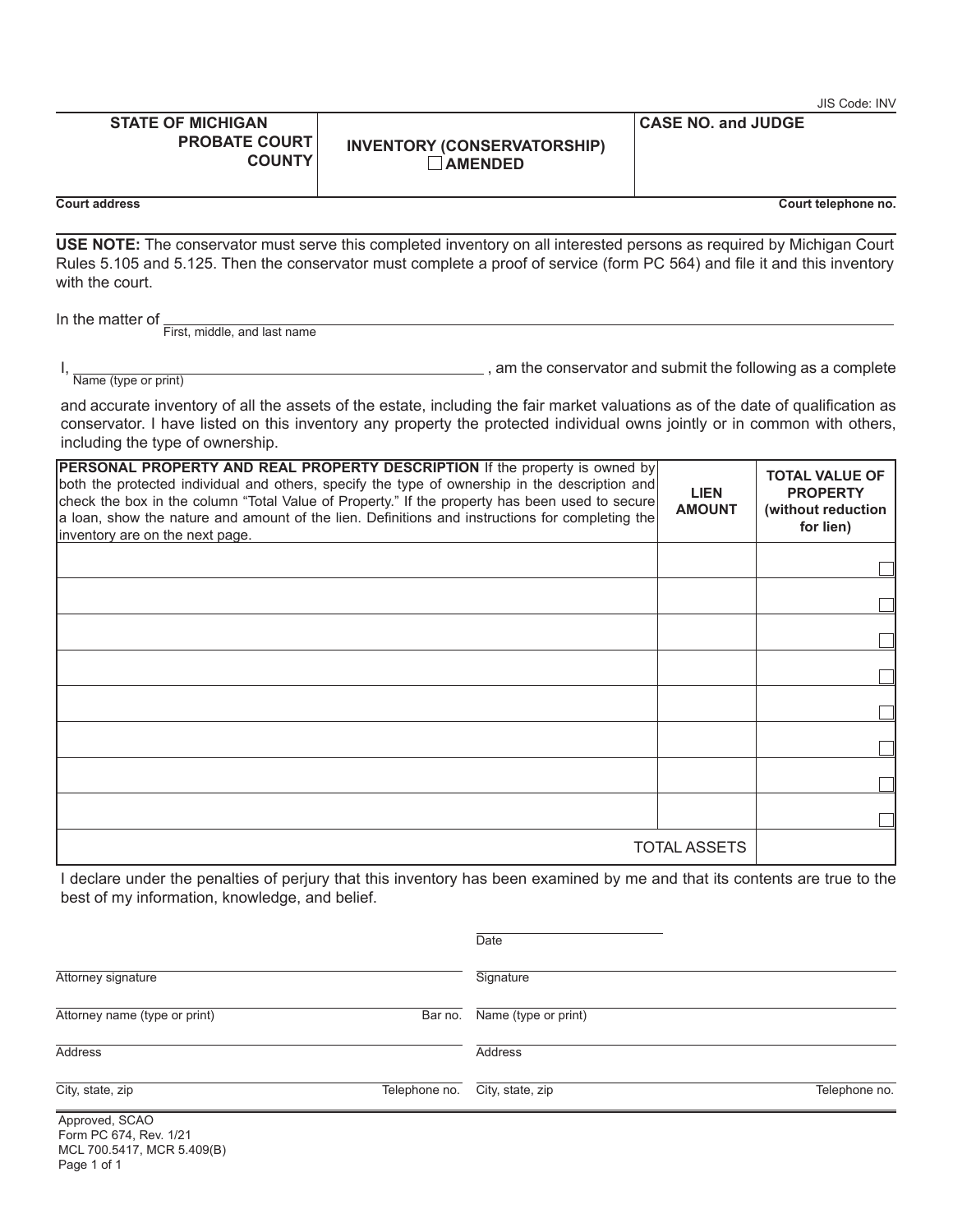|                                                                                   |                                                                                                                                                                                                                                                                                                                                                                                    |                              | JIS Code: INV                                                               |
|-----------------------------------------------------------------------------------|------------------------------------------------------------------------------------------------------------------------------------------------------------------------------------------------------------------------------------------------------------------------------------------------------------------------------------------------------------------------------------|------------------------------|-----------------------------------------------------------------------------|
| <b>STATE OF MICHIGAN</b><br><b>PROBATE COURT</b><br><b>COUNTY</b>                 | <b>INVENTORY (CONSERVATORSHIP)</b><br><b>AMENDED</b>                                                                                                                                                                                                                                                                                                                               | <b>CASE NO. and JUDGE</b>    |                                                                             |
| Court address                                                                     |                                                                                                                                                                                                                                                                                                                                                                                    |                              | Court telephone no.                                                         |
| with the court.                                                                   | USE NOTE: The conservator must serve this completed inventory on all interested persons as required by Michigan Court<br>Rules 5.105 and 5.125. Then the conservator must complete a proof of service (form PC 564) and file it and this inventory                                                                                                                                 |                              |                                                                             |
| In the matter of _<br>First, middle, and last name                                |                                                                                                                                                                                                                                                                                                                                                                                    |                              |                                                                             |
| $I$ , $\frac{1}{\text{Name (type or print)}}$<br>including the type of ownership. | $\Box$ , am the conservator and submit the following as a complete<br>and accurate inventory of all the assets of the estate, including the fair market valuations as of the date of qualification as<br>conservator. I have listed on this inventory any property the protected individual owns jointly or in common with others,                                                 |                              |                                                                             |
| inventory are on the next page.                                                   | PERSONAL PROPERTY AND REAL PROPERTY DESCRIPTION If the property is owned by<br>both the protected individual and others, specify the type of ownership in the description and<br>check the box in the column "Total Value of Property." If the property has been used to secure<br>a loan, show the nature and amount of the lien. Definitions and instructions for completing the | <b>LIEN</b><br><b>AMOUNT</b> | <b>TOTAL VALUE OF</b><br><b>PROPERTY</b><br>(without reduction<br>for lien) |
|                                                                                   |                                                                                                                                                                                                                                                                                                                                                                                    |                              |                                                                             |
|                                                                                   |                                                                                                                                                                                                                                                                                                                                                                                    |                              |                                                                             |
|                                                                                   |                                                                                                                                                                                                                                                                                                                                                                                    |                              |                                                                             |
|                                                                                   |                                                                                                                                                                                                                                                                                                                                                                                    |                              |                                                                             |
|                                                                                   |                                                                                                                                                                                                                                                                                                                                                                                    |                              |                                                                             |
|                                                                                   |                                                                                                                                                                                                                                                                                                                                                                                    |                              |                                                                             |
|                                                                                   |                                                                                                                                                                                                                                                                                                                                                                                    |                              |                                                                             |
|                                                                                   |                                                                                                                                                                                                                                                                                                                                                                                    |                              |                                                                             |
|                                                                                   |                                                                                                                                                                                                                                                                                                                                                                                    | <b>TOTAL ASSETS</b>          |                                                                             |

I declare under the penalties of perjury that this inventory has been examined by me and that its contents are true to the best of my information, knowledge, and belief.

|                                          | Date                              |
|------------------------------------------|-----------------------------------|
| Attorney signature                       | Signature                         |
| Attorney name (type or print)<br>Bar no. | Name (type or print)              |
| Address                                  | Address                           |
| City, state, zip<br>Telephone no.        | City, state, zip<br>Telephone no. |
| Approved, SCAO<br>Form PC 674, Rev. 1/21 |                                   |